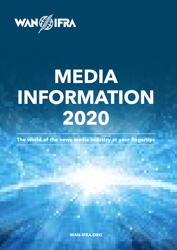

# **MEDIA INFORMATION 2020**

**The world of the news media industry at your fingertips**

**WAN-IFRA.ORG**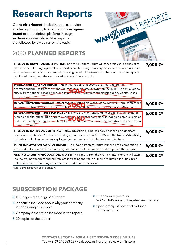# **Research Reports**

Our **topic-oriented**, in-depth reports provide an ideal opportunity to attach your **prestigious brand** to a prestigious platform through **exclusive** sponsorships. Most reports are followed by a webinar on the topic.

# REPORTS Superior Prince of News Pathletin Engaged Readers

# 2020 **PLANNED REPORTS**

**TRENDS IN NEWSROOMS (3 PARTS)**: The World Editors Forum will focus this year's series of reports on the following topics: How to tackle climate change; Raising the volume of women's voices – in the newsroom and in content; Showcasing new-look newsrooms . There will be three reports published throughout the year, covering these different topics. **7,000 €\***

| <b>WORLD PRESS TRENDS REPORT:</b> An annual report that covers the most vital trends,<br>analyses,and figures from the global News Media in Lystry, drawn from WAN-IFRA's annual global  <br>survey from national associations, and in partners in with data specialists such as Zenith, Ipsos,<br>PwC and more.           |         |
|----------------------------------------------------------------------------------------------------------------------------------------------------------------------------------------------------------------------------------------------------------------------------------------------------------------------------|---------|
| READER REVENUE - SUBSCRIPTION MARKETING: This year's Digital Media Europe conference<br>will feature a two-day deep dive into Subsenburgh Marketing, serving as the basis of this report.                                                                                                                                  | 6,000€* |
| READER REVENUE - THE TECH PICTURE: There are many challenging aspects to launching or<br>running a digital subscription strategy, and figuring sut the tech stack is indeed a complex part of<br>that. Fortunately, there are a number of lessons learned from those who are advanced and present<br>those in this report. | 6,000€* |
| TRENDS IN NATIVE ADVERTISING: Native advertising is increasingly becoming a significant<br>part of news publishers' overall ad strategies and revenues. WAN-IFRA and the Native Advertising<br>Institute conduct an annual survey to gauge the trends and strategies emerging here.                                        | 6,000€* |
| PRINT INNOVATION AWARDS REPORT: The World Printers Forum launched this competition in<br>2018 and will showcase the 20 winning companies and the projects that propelled them to win.                                                                                                                                      | 6,000€* |
| ADDING VALUE IN PRODUCTION, PART II: This report from the World Printers Forum will exam-<br>ine the way newspapers and printers are increasing the value of their production facilities, prod-<br>ucts and services, featuring concrete case studies and interviews.                                                      | 6,000€* |

\* non-members pay an additional 25 %

## **SUBSCRIPTION PACKAGE**

Full-page ad on page 2 of report

 An article included about why your company is sponsoring this report

Company description included in the report

20 copies of the report

 2 sponsored posts on WAN-IFRA's array of targeted newsletters

 Sponsorship of potential webinar with your intro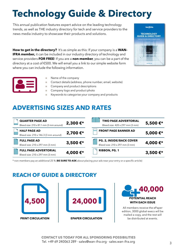# **Technology Guide & Directory**

This annual publication features expert advice on the leading technology trends, as well as THE industry directory for tech and service providers to the news media industry to showcase their products and solutions.

**How to get in the directory?** It's as simple as this: If your company is a **WAN**-**IFRA member,** it can be included in our industry directory of technology and service providers **FOR FREE**! If you are a **non-member**, you can be a part of the directory at a cost of €500. We will email you a link to our simple website form where you can include the following information.





- Name of the company
- Contact details (address, phone number, email, website)
- Company and product descriptions
- Company logo and product photo
- Keywords to categorise your company and products

### **ADVERTISING SIZES AND RATES**

| <b>QUARTER PAGE AD</b><br>Bleed size: 210 x 81.1 mm (3 mm around) | 2,300€*  | <b>TWO PAGE ADVERTORIAL</b><br>Bleed size: 420 x 297 mm (3 mm) | 5,500€*  |
|-------------------------------------------------------------------|----------|----------------------------------------------------------------|----------|
| <b>HALF PAGE AD</b>                                               |          | <b>FRONT PAGE BANNER AD</b>                                    |          |
| Bleed size: 210 x 146.3 (3 mm around)                             | 2,700€*  |                                                                | 5,000€*  |
| <b>FULL PAGE AD</b>                                               |          | <b>PG. 2, INSIDE/BACK COVER</b>                                |          |
| Bleed size: 210 x 297 mm (3 mm)                                   | 3,500 €* | Bleed size: 210 x 297 mm (3 mm)                                | 4,000€*  |
| <b>FULL PAGE ADVERTORIAL</b>                                      |          | RIBBON, PG. 1                                                  |          |
| Bleed size: 210 x 297 mm (3 mm)                                   | 4,000€*  |                                                                | 3,500 €* |

\* non-members pay an additional 25 % (**BE SURE TO ASK** about placing your ads near your entry or a specific article)

### **REACH OF GUIDE & DIRECTORY**





All members receive the ePaper edition, 3000 global execs will be mailed a copy, and the rest will be distributed at events.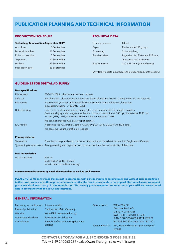### **PUBLICATION PLANNING AND TECHNICAL INFORMATION**

### **PRODUCTION SCHEDULE PRODUCTION SCHEDULE**

#### **Technology & Innovation, September 2018 Technology & Innovation, September 2019**

| Ads close:          | 5 September  |
|---------------------|--------------|
| Material deadline:  | 11 September |
| Editorial deadline: | 5 September  |
| To printer:         | 17 September |
| Mailing:            | 23 September |
| Publication date:   | 23 September |

### **TECHNICAL DATA TECHNICAL DATA**

| Page size: A4, 210 mm x 297 mm |
|--------------------------------|
|                                |
|                                |
|                                |

(Any folding costs incurred are the responsibility of the client.) (Any folding costs incurred are the responsibility of the client.)

#### **GUIDELINES FOR DIGITAL AD SUPPLY**

| <b>Data specifications</b> |                                                                                                                                                                                                                                                 |
|----------------------------|-------------------------------------------------------------------------------------------------------------------------------------------------------------------------------------------------------------------------------------------------|
| File formats               | PDF/X-3:2003, other formats only on request.                                                                                                                                                                                                    |
| Side-cut                   | For bleed ads, please provide and output 3 mm bleed on all sides. Cutting marks are not required.                                                                                                                                               |
| File names                 | Please name your ads unequivocally with customer's name, edition no, language,<br>e.g. customername_0102-2013_E.pdf                                                                                                                             |
| Data checking              | Used fonts must be embedded. Image files must be embedded in a high resolution<br>Colour and grey scale images must have a minimum resolution of 300 dpi, line artwork 1200 dpi<br>Images (TIFF, JPEG, Photoshop EPS) must be converted to CMYK |
|                            | We can not process RGB data or spot colours.                                                                                                                                                                                                    |
| <b>ICC-Profile</b>         | Please use the ICC profile Coated FOGRA39 (ISO 12647-2:2004) (no RGB data)                                                                                                                                                                      |
|                            | We can email you the profile on request.                                                                                                                                                                                                        |
| <b>Printing material</b>   |                                                                                                                                                                                                                                                 |
| Translation                | The client is responsible for the correct translation of the advertisement into English and German.                                                                                                                                             |
|                            | Typesetting & repro costs Any typesetting and reproduction costs incurred are the responsibility of the client.                                                                                                                                 |
| <b>Data Transmission</b>   |                                                                                                                                                                                                                                                 |
| via data carriers          | PDF to:                                                                                                                                                                                                                                         |

#### **Please communicate to us by email the order data as well as the file name.**

Dean Roper, Editor-in-Chief e-mail: dean.roper@wan-ifra.org

**PLEASE NOTE: We convert ads that are not in accordance with our specifications automatically and without prior consultation to the correct color space. Although experience shows that the result corresponds to the original files, in such cases we cannot guarantee absolute accuracy of color reproduction. We can only guarantee perfect reproduction of your ad if we receive the ad data in accordance with the above specifications.**

#### **GENERAL INFORMATION**

| Frequency of publication 1 issue annually |                                     | Bank account    | <b>WAN-IFRA CH</b>                                |
|-------------------------------------------|-------------------------------------|-----------------|---------------------------------------------------|
| Place of publication                      | Frankfurt am Main, Germany          |                 | Dresdner Bank AG,                                 |
| Website                                   | WAN-IFRA: www.wan-ifra.org          |                 | D-64219 Darmstadt,                                |
|                                           |                                     |                 | SWIFT-BIC.: DRES DE FF 508                        |
| Advertising deadline                      | See Production Schedule.            |                 | IBAN DE78 5088 0050 0174 1822 00,                 |
| Cancellation                              | 2 weeks before advertising deadline |                 | BLZ 508 800 50 A/c No. 174 182 200.               |
|                                           | at latest                           | Payment details | Net, without discount, upon receipt of<br>invoice |

**CONTACT US TODAY FOR ALL SPONSORING POSSIBILITIES** Tel. +49 69 240063 289 · sales@wan-ifra.org · sales.wan-ifra.org 4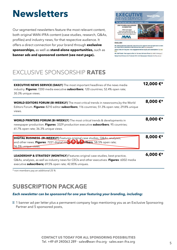# **Newsletters**

Our segmented newsletters feature the most relevant content, both original WAN-IFRA content (case studies, research, Q&As, profiles) and industry news, for that respective audience. It offers a direct connection for your brand through **exclusive sponsorships,** as well as **stand-alone opportunities,** such as **banner ads and sponsored content (see next page).**.



**ENGLISH** 

UK: Newsquest boss 'optimistic' about future for regional news as digital<br>up 40 per cent of publisher's total revenue next year (by preniguatio) Africa: DMA 2016 keynote: how engagement drives loyalty and subscriptions (by van

UK: Nall Powler: New opportunities for the new Johnston Press (by hok the margage) fedge Fund Follows U.S. Pantrook With U.K. Newspapers Takeover the bloombond

## EXCLUSIVE SPONSORSHIP **RATES**

| <b>EXECUTIVE NEWS SERVICE (DAILY)</b> The most important headlines of the news media<br>industry. Figures: 7200 media executive subscribers; 120 countries; 52.4% open rate;<br>30.3% unique views.                                                        | 12,000€* |
|------------------------------------------------------------------------------------------------------------------------------------------------------------------------------------------------------------------------------------------------------------|----------|
| <b>WORLD EDITORS FORUM (BI-WEEKLY)</b> The most critical trends in newsrooms, by the World<br>Editors Forum. Figures: 8210 editor subscribers; 116 countries; 51.3% open rate; 29.8% unique<br>views.                                                      | 8,000€*  |
| <b>WORLD PRINTERS FORUM (BI-WEEKLY)</b> The most critical trends & developments in<br>newspaper production. Figures: 3329 production executive subscribers; 95 countries;<br>61.7% open rate; 36.3% unique views.                                          | 8,000€*  |
| DIGITAL BUSINESS (BL-WEEKLY) Features original case studies, O&As, analyses,<br>and other news. Figures: 7221 digital exective by Fairbers; 58.5% open rate;<br>36.5% unique views.                                                                        | 8,000€*  |
| <b>LEADERSHIP &amp; STRATEGY (MONTHLY)</b> Features original case studies, best-practice,<br>Q&As, analyses, as well as industry news for CEOs and other executives. Figures: 6002 media<br>executive <b>subscribers;</b> 69.5% open rate; 42.85% uniques. | 6,000€*  |

\* non-members pay an additional 25 %

## **SUBSCRIPTION PACKAGE**

### *Each newsletter can be sponsored for one year featuring your branding, including:*

 1 banner ad per letter plus a permanent company logo mentioning you as an Exclusive Sponsoring Partner and 5 sponsored posts,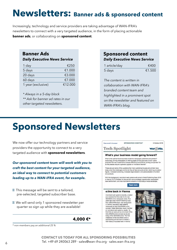# **Newsletters: Banner ads & sponsored content**

Increasingly, technology and service providers are taking advantage of WAN-IFRA's newsletters to connect with a very targeted audience, in the form of placing actionable **banner ads**, or collaborating on **sponsored content**.

### **Banner Ads**

*Daily Executive News Service*

| 1 day              | £250    |
|--------------------|---------|
| 5 days             | €1.000  |
| 20 days            | €3.000  |
| 60 days            | €7.000  |
| 1 year (exclusive) | €12,000 |

*\* Always in a 5-day block \*\* Ask for banner ad rates in our other targeted newsletters.*

### **Sponsored content**

### *Daily Executive News Service*

| 1 article/day | €400   |
|---------------|--------|
| 5 days        | €1.500 |

*The content is written in collaboration with WAN-IFRA's branded content team and highlighted in a prominent spot on the newsletter and featured on WAN-IFRA's blog.*

# **Sponsored Newsletters**

We now offer our technology partners and service providers the opportunity to connect to a very targeted audience with **sponsored newsletters**.

*Our sponsored content team will work with you to craft the best content for your targeted audience, an ideal way to connect to potential customers leading up to a WAN-IFRA event, for example.*

 This message will be sent to a tailored, pre-selected, targeted subscriber base.

 We will send only 1 sponsored newsletter per quarter so sign up while they are available!

### **4,000 €\***

\* non-members pay an additional 25 %



Exclusively printing newspapers or offering digital printing services or even hybrid<br>products? Do new investments increase efficiency and profit for printing companies? Or do the presses require a general upgrade or innovative retrofits?

These are just some of the questions that many publishing houses and printers have interest are pushed to the annual theorem in the procession of the second line of the state of the state of the state of the state of the state of the state of the state of the state of the state of the state of the state and products.

With this background, manipland web systems will come to World Publishing Expo 2016<br>in Vienna (10-12 October) to discuss the various strategic opportunities newspapers<br>have before them, and how manipland's sciutions fit in

#### Read more

#### e:line back in Vienna

manroland web systems recently unveiled and received the first order for its new GEOMAN edne newspaper press. Five<br>years ago when World Publishing Expo,<br>then called IFRA Expo, was taking place in Vienna, manroland web systems introduced its first COLORMAN e line concept. Dieter Betzmeier, board member at manroland web systems, recalls: "A that time we were just as convinced of the COLORMAN e line concept as we are<br>today of the GECMAN e line. The first installation of the GEOWAN etime is approaching and we want to initiate a new history of success here in Vienna.



**CONTACT US TODAY FOR ALL SPONSORING POSSIBILITIES**  $\frac{1}{6}$  Tel. +49 69 240063 289 · sales@wan-ifra.org · sales.wan-ifra.org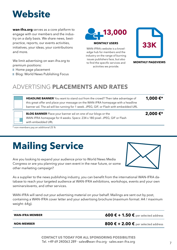# **Website**

**wan-ifra.org** serves as a core platform to engage with our members and the industry on a daily basis. We share news, bestpractice, reports, our events activities, initiatives, your ideas, your contributions and more.

We limit advertising on wan-ifra.org to premium positions:

Home page placement

Blog: World News Publishing Focus



WAN-IFRA's website is a knowledge hub for members and the industry on the range of burning issues publishers face, but also to find the specific services and activities we provide.



**MONTHLY PAGEVIEWS**

# ADVERTISING **PLACEMENTS AND RATES**

| <b>HEADLINE BANNER</b> You want to stand out from the crowd? Then take advantage of<br>this great offer and place your message on the WAN-IFRA homepage with a headline<br>banner ad. The ad will be running for 1 week. JPEG, GIF, or Flash with embedded URL | 1,000€* |
|----------------------------------------------------------------------------------------------------------------------------------------------------------------------------------------------------------------------------------------------------------------|---------|
| <b>BLOG BANNER</b> Place your banner ad on one of our blogs or the<br>WAN-IFRA homepage for 4 weeks. Specs: 234 x 180 pixel. JPEG, GIF or Flash                                                                                                                | 2,000€* |

\* non-members pay an additional 25 %

with embedded URL

# **Mailing Service**

Are you looking to expand your audience prior to World News Media Congress or are you planning your own event in the near future, or some other marketing campaign?



As a supplier to the news publishing industry, you can benefit from the international WAN-IFRA database to reach your targeted audience at WAN-IFRA exhibitions, workshops, events and your own seminars/events, and other services.

WAN-IFRA will send out your advertising material on your behalf. Mailings are sent out by post, containing a WAN-IFRA cover letter and your advertising brochure (maximum format: A4 / maximum weight: 64g).

**WAN-IFRA MEMBER 600 € + 1.50 € per selected address** 

### **NON-MEMBER 800 € + 2.00 €** per selected address